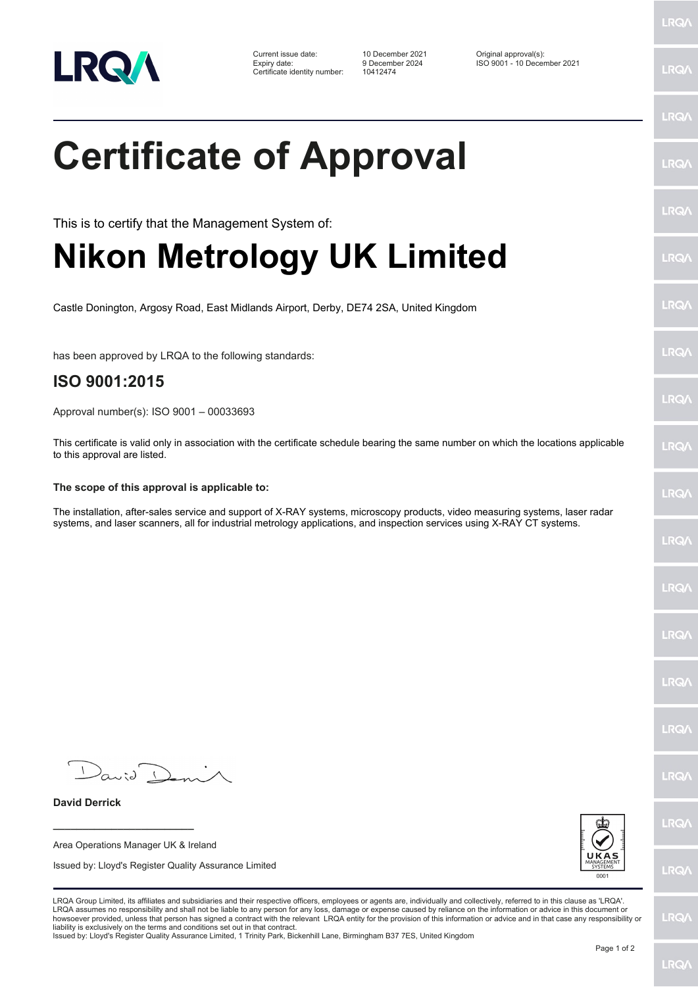

Certificate identity number: 10412474

Current issue date: 10 December 2021 Original approval(s): Expiry date: 9 December 2024 ISO 9001 - 10 December 2021

LRQ/

LRQ/

## LRQ/ **Certificate of Approval** LRQ/ LRQ/ This is to certify that the Management System of: **Nikon Metrology UK Limited** LRQ/ LRQ/ Castle Donington, Argosy Road, East Midlands Airport, Derby, DE74 2SA, United Kingdom LRQ/ has been approved by LRQA to the following standards: **ISO 9001:2015 LRQA** Approval number(s): ISO 9001 – 00033693 This certificate is valid only in association with the certificate schedule bearing the same number on which the locations applicable **LRO** to this approval are listed. **The scope of this approval is applicable to:** LRQ/ The installation, after-sales service and support of X-RAY systems, microscopy products, video measuring systems, laser radar systems, and laser scanners, all for industrial metrology applications, and inspection services using X-RAY CT systems.LRQ/ LRQ/ LRQ/ LRQ/ **IRQA**  $D$ avid  $\Gamma$ LRQ/ **David Derrick** LRQ/ **\_\_\_\_\_\_\_\_\_\_\_\_\_\_\_\_\_\_\_\_\_\_\_\_** Area Operations Manager UK & Ireland Issued by: Lloyd's Register Quality Assurance Limited **LRQ/** LRQA Group Limited, its affiliates and subsidiaries and their respective officers, employees or agents are, individually and collectively, referred to in this clause as 'LRQA'. LRQA assumes no responsibility and shall not be liable to any person for any loss, damage or expense caused by reliance on the information or advice in this document or<br>howsoever provided, unless that person has signed a c LRQ/ liability is exclusively on the terms and conditions set out in that contract. Issued by: Lloyd's Register Quality Assurance Limited, 1 Trinity Park, Bickenhill Lane, Birmingham B37 7ES, United Kingdom

Page 1 of 2